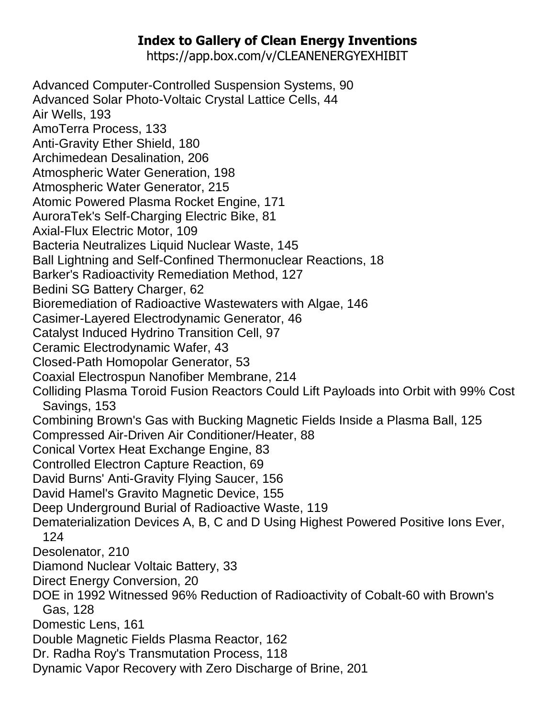## **Index to Gallery of Clean Energy Inventions**

https://app.box.com/v/CLEANENERGYEXHIBIT

Advanced Computer-Controlled Suspension Systems, 90 Advanced Solar Photo-Voltaic Crystal Lattice Cells, 44 Air Wells, 193 AmoTerra Process, 133 Anti-Gravity Ether Shield, 180 Archimedean Desalination, 206 Atmospheric Water Generation, 198 Atmospheric Water Generator, 215 Atomic Powered Plasma Rocket Engine, 171 AuroraTek's Self-Charging Electric Bike, 81 Axial-Flux Electric Motor, 109 Bacteria Neutralizes Liquid Nuclear Waste, 145 Ball Lightning and Self-Confined Thermonuclear Reactions, 18 Barker's Radioactivity Remediation Method, 127 Bedini SG Battery Charger, 62 Bioremediation of Radioactive Wastewaters with Algae, 146 Casimer-Layered Electrodynamic Generator, 46 Catalyst Induced Hydrino Transition Cell, 97 Ceramic Electrodynamic Wafer, 43 Closed-Path Homopolar Generator, 53 Coaxial Electrospun Nanofiber Membrane, 214 Colliding Plasma Toroid Fusion Reactors Could Lift Payloads into Orbit with 99% Cost Savings, 153 Combining Brown's Gas with Bucking Magnetic Fields Inside a Plasma Ball, 125 Compressed Air-Driven Air Conditioner/Heater, 88 Conical Vortex Heat Exchange Engine, 83 Controlled Electron Capture Reaction, 69 David Burns' Anti-Gravity Flying Saucer, 156 David Hamel's Gravito Magnetic Device, 155 Deep Underground Burial of Radioactive Waste, 119 Dematerialization Devices A, B, C and D Using Highest Powered Positive Ions Ever, 124 Desolenator, 210 Diamond Nuclear Voltaic Battery, 33 Direct Energy Conversion, 20 DOE in 1992 Witnessed 96% Reduction of Radioactivity of Cobalt-60 with Brown's Gas, 128 Domestic Lens, 161 Double Magnetic Fields Plasma Reactor, 162 Dr. Radha Roy's Transmutation Process, 118 Dynamic Vapor Recovery with Zero Discharge of Brine, 201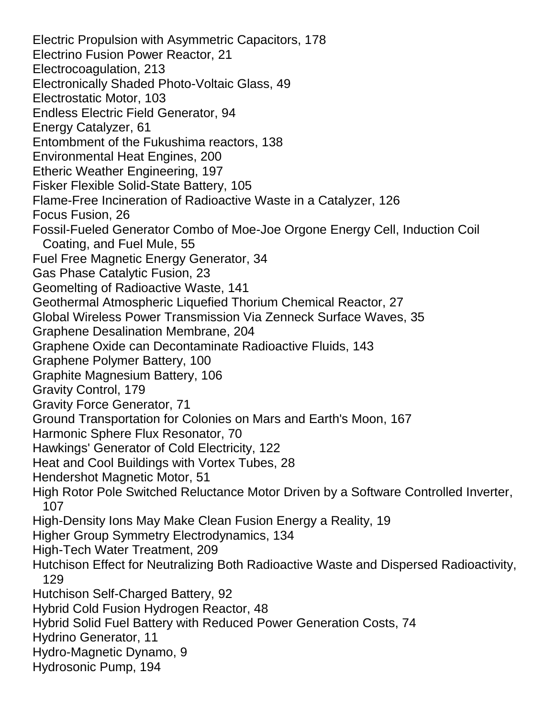Electric Propulsion with Asymmetric Capacitors, 178 Electrino Fusion Power Reactor, 21 Electrocoagulation, 213 Electronically Shaded Photo-Voltaic Glass, 49 Electrostatic Motor, 103 Endless Electric Field Generator, 94 Energy Catalyzer, 61 Entombment of the Fukushima reactors, 138 Environmental Heat Engines, 200 Etheric Weather Engineering, 197 Fisker Flexible Solid-State Battery, 105 Flame-Free Incineration of Radioactive Waste in a Catalyzer, 126 Focus Fusion, 26 Fossil-Fueled Generator Combo of Moe-Joe Orgone Energy Cell, Induction Coil Coating, and Fuel Mule, 55 Fuel Free Magnetic Energy Generator, 34 Gas Phase Catalytic Fusion, 23 Geomelting of Radioactive Waste, 141 Geothermal Atmospheric Liquefied Thorium Chemical Reactor, 27 Global Wireless Power Transmission Via Zenneck Surface Waves, 35 Graphene Desalination Membrane, 204 Graphene Oxide can Decontaminate Radioactive Fluids, 143 Graphene Polymer Battery, 100 Graphite Magnesium Battery, 106 Gravity Control, 179 Gravity Force Generator, 71 Ground Transportation for Colonies on Mars and Earth's Moon, 167 Harmonic Sphere Flux Resonator, 70 Hawkings' Generator of Cold Electricity, 122 Heat and Cool Buildings with Vortex Tubes, 28 Hendershot Magnetic Motor, 51 High Rotor Pole Switched Reluctance Motor Driven by a Software Controlled Inverter, 107 High-Density Ions May Make Clean Fusion Energy a Reality, 19 Higher Group Symmetry Electrodynamics, 134 High-Tech Water Treatment, 209 Hutchison Effect for Neutralizing Both Radioactive Waste and Dispersed Radioactivity, 129 Hutchison Self-Charged Battery, 92 Hybrid Cold Fusion Hydrogen Reactor, 48 Hybrid Solid Fuel Battery with Reduced Power Generation Costs, 74 Hydrino Generator, 11 Hydro-Magnetic Dynamo, 9 Hydrosonic Pump, 194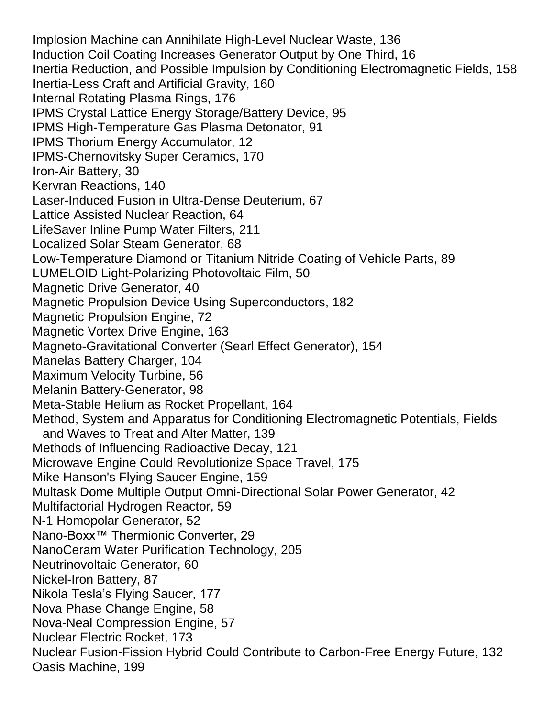Implosion Machine can Annihilate High-Level Nuclear Waste, 136 Induction Coil Coating Increases Generator Output by One Third, 16 Inertia Reduction, and Possible Impulsion by Conditioning Electromagnetic Fields, 158 Inertia-Less Craft and Artificial Gravity, 160 Internal Rotating Plasma Rings, 176 IPMS Crystal Lattice Energy Storage/Battery Device, 95 IPMS High-Temperature Gas Plasma Detonator, 91 IPMS Thorium Energy Accumulator, 12 IPMS-Chernovitsky Super Ceramics, 170 Iron-Air Battery, 30 Kervran Reactions, 140 Laser-Induced Fusion in Ultra-Dense Deuterium, 67 Lattice Assisted Nuclear Reaction, 64 LifeSaver Inline Pump Water Filters, 211 Localized Solar Steam Generator, 68 Low-Temperature Diamond or Titanium Nitride Coating of Vehicle Parts, 89 LUMELOID Light-Polarizing Photovoltaic Film, 50 Magnetic Drive Generator, 40 Magnetic Propulsion Device Using Superconductors, 182 Magnetic Propulsion Engine, 72 Magnetic Vortex Drive Engine, 163 Magneto-Gravitational Converter (Searl Effect Generator), 154 Manelas Battery Charger, 104 Maximum Velocity Turbine, 56 Melanin Battery-Generator, 98 Meta-Stable Helium as Rocket Propellant, 164 Method, System and Apparatus for Conditioning Electromagnetic Potentials, Fields and Waves to Treat and Alter Matter, 139 Methods of Influencing Radioactive Decay, 121 Microwave Engine Could Revolutionize Space Travel, 175 Mike Hanson's Flying Saucer Engine, 159 Multask Dome Multiple Output Omni-Directional Solar Power Generator, 42 Multifactorial Hydrogen Reactor, 59 N-1 Homopolar Generator, 52 Nano-Boxx™ Thermionic Converter, 29 NanoCeram Water Purification Technology, 205 Neutrinovoltaic Generator, 60 Nickel-Iron Battery, 87 Nikola Tesla's Flying Saucer, 177 Nova Phase Change Engine, 58 Nova-Neal Compression Engine, 57 Nuclear Electric Rocket, 173 Nuclear Fusion-Fission Hybrid Could Contribute to Carbon-Free Energy Future, 132 Oasis Machine, 199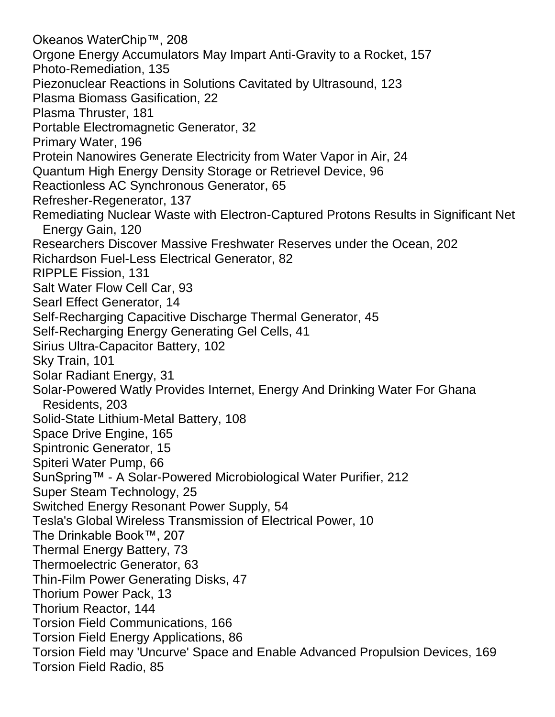Okeanos WaterChip™, 208 Orgone Energy Accumulators May Impart Anti-Gravity to a Rocket, 157 Photo-Remediation, 135 Piezonuclear Reactions in Solutions Cavitated by Ultrasound, 123 Plasma Biomass Gasification, 22 Plasma Thruster, 181 Portable Electromagnetic Generator, 32 Primary Water, 196 Protein Nanowires Generate Electricity from Water Vapor in Air, 24 Quantum High Energy Density Storage or Retrievel Device, 96 Reactionless AC Synchronous Generator, 65 Refresher-Regenerator, 137 Remediating Nuclear Waste with Electron-Captured Protons Results in Significant Net Energy Gain, 120 Researchers Discover Massive Freshwater Reserves under the Ocean, 202 Richardson Fuel-Less Electrical Generator, 82 RIPPLE Fission, 131 Salt Water Flow Cell Car, 93 Searl Effect Generator, 14 Self-Recharging Capacitive Discharge Thermal Generator, 45 Self-Recharging Energy Generating Gel Cells, 41 Sirius Ultra-Capacitor Battery, 102 Sky Train, 101 Solar Radiant Energy, 31 Solar-Powered Watly Provides Internet, Energy And Drinking Water For Ghana Residents, 203 Solid-State Lithium-Metal Battery, 108 Space Drive Engine, 165 Spintronic Generator, 15 Spiteri Water Pump, 66 SunSpring™ - A Solar-Powered Microbiological Water Purifier, 212 Super Steam Technology, 25 Switched Energy Resonant Power Supply, 54 Tesla's Global Wireless Transmission of Electrical Power, 10 The Drinkable Book™, 207 Thermal Energy Battery, 73 Thermoelectric Generator, 63 Thin-Film Power Generating Disks, 47 Thorium Power Pack, 13 Thorium Reactor, 144 Torsion Field Communications, 166 Torsion Field Energy Applications, 86 Torsion Field may 'Uncurve' Space and Enable Advanced Propulsion Devices, 169 Torsion Field Radio, 85